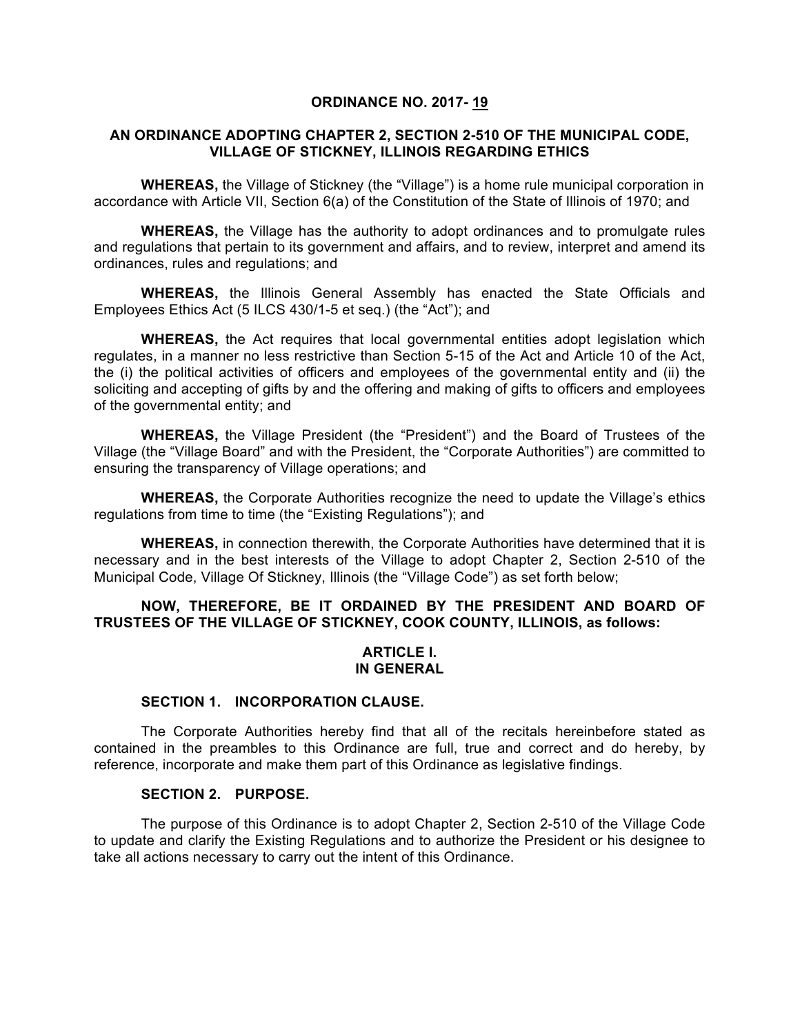#### **ORDINANCE NO. 2017- 19**

#### **AN ORDINANCE ADOPTING CHAPTER 2, SECTION 2-510 OF THE MUNICIPAL CODE, VILLAGE OF STICKNEY, ILLINOIS REGARDING ETHICS**

**WHEREAS,** the Village of Stickney (the "Village") is a home rule municipal corporation in accordance with Article VII, Section 6(a) of the Constitution of the State of Illinois of 1970; and

**WHEREAS,** the Village has the authority to adopt ordinances and to promulgate rules and regulations that pertain to its government and affairs, and to review, interpret and amend its ordinances, rules and regulations; and

**WHEREAS,** the Illinois General Assembly has enacted the State Officials and Employees Ethics Act (5 ILCS 430/1-5 et seq.) (the "Act"); and

**WHEREAS,** the Act requires that local governmental entities adopt legislation which regulates, in a manner no less restrictive than Section 5-15 of the Act and Article 10 of the Act, the (i) the political activities of officers and employees of the governmental entity and (ii) the soliciting and accepting of gifts by and the offering and making of gifts to officers and employees of the governmental entity; and

**WHEREAS,** the Village President (the "President") and the Board of Trustees of the Village (the "Village Board" and with the President, the "Corporate Authorities") are committed to ensuring the transparency of Village operations; and

**WHEREAS,** the Corporate Authorities recognize the need to update the Village's ethics regulations from time to time (the "Existing Regulations"); and

**WHEREAS,** in connection therewith, the Corporate Authorities have determined that it is necessary and in the best interests of the Village to adopt Chapter 2, Section 2-510 of the Municipal Code, Village Of Stickney, Illinois (the "Village Code") as set forth below;

# **NOW, THEREFORE, BE IT ORDAINED BY THE PRESIDENT AND BOARD OF TRUSTEES OF THE VILLAGE OF STICKNEY, COOK COUNTY, ILLINOIS, as follows:**

### **ARTICLE I. IN GENERAL**

#### **SECTION 1. INCORPORATION CLAUSE.**

The Corporate Authorities hereby find that all of the recitals hereinbefore stated as contained in the preambles to this Ordinance are full, true and correct and do hereby, by reference, incorporate and make them part of this Ordinance as legislative findings.

### **SECTION 2. PURPOSE.**

The purpose of this Ordinance is to adopt Chapter 2, Section 2-510 of the Village Code to update and clarify the Existing Regulations and to authorize the President or his designee to take all actions necessary to carry out the intent of this Ordinance.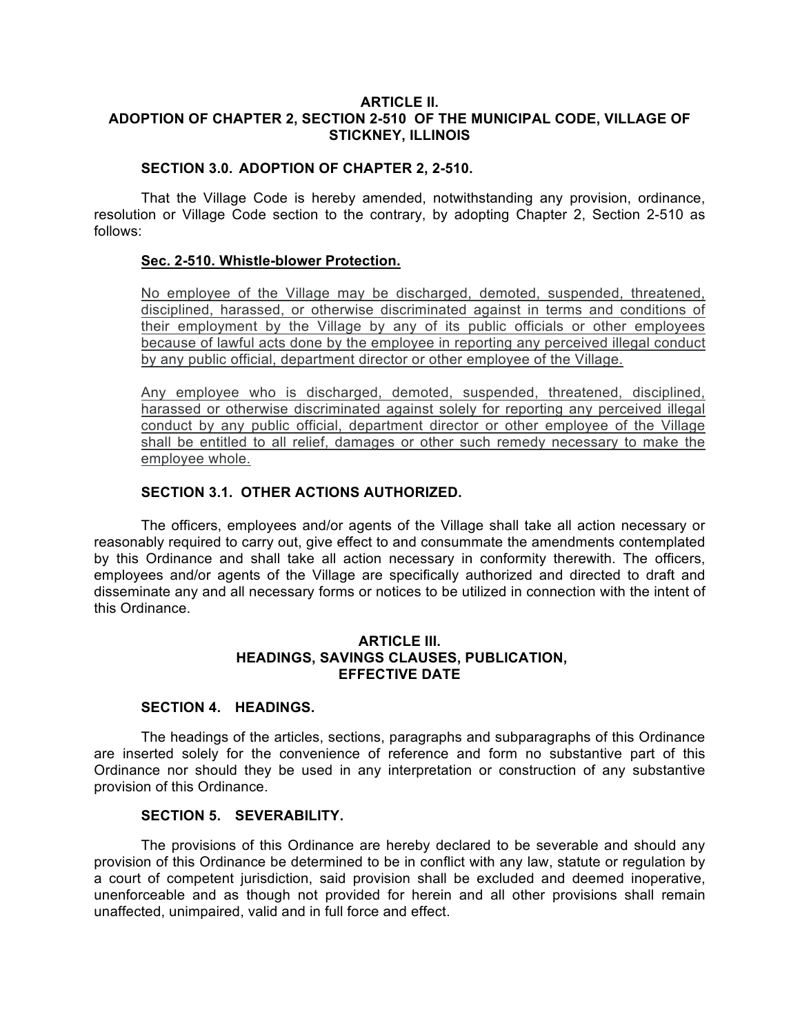# **ARTICLE II. ADOPTION OF CHAPTER 2, SECTION 2-510 OF THE MUNICIPAL CODE, VILLAGE OF STICKNEY, ILLINOIS**

# **SECTION 3.0. ADOPTION OF CHAPTER 2, 2-510.**

That the Village Code is hereby amended, notwithstanding any provision, ordinance, resolution or Village Code section to the contrary, by adopting Chapter 2, Section 2-510 as follows:

## **Sec. 2-510. Whistle-blower Protection.**

No employee of the Village may be discharged, demoted, suspended, threatened, disciplined, harassed, or otherwise discriminated against in terms and conditions of their employment by the Village by any of its public officials or other employees because of lawful acts done by the employee in reporting any perceived illegal conduct by any public official, department director or other employee of the Village.

Any employee who is discharged, demoted, suspended, threatened, disciplined, harassed or otherwise discriminated against solely for reporting any perceived illegal conduct by any public official, department director or other employee of the Village shall be entitled to all relief, damages or other such remedy necessary to make the employee whole.

# **SECTION 3.1. OTHER ACTIONS AUTHORIZED.**

The officers, employees and/or agents of the Village shall take all action necessary or reasonably required to carry out, give effect to and consummate the amendments contemplated by this Ordinance and shall take all action necessary in conformity therewith. The officers, employees and/or agents of the Village are specifically authorized and directed to draft and disseminate any and all necessary forms or notices to be utilized in connection with the intent of this Ordinance.

# **ARTICLE III. HEADINGS, SAVINGS CLAUSES, PUBLICATION, EFFECTIVE DATE**

## **SECTION 4. HEADINGS.**

The headings of the articles, sections, paragraphs and subparagraphs of this Ordinance are inserted solely for the convenience of reference and form no substantive part of this Ordinance nor should they be used in any interpretation or construction of any substantive provision of this Ordinance.

## **SECTION 5. SEVERABILITY.**

The provisions of this Ordinance are hereby declared to be severable and should any provision of this Ordinance be determined to be in conflict with any law, statute or regulation by a court of competent jurisdiction, said provision shall be excluded and deemed inoperative, unenforceable and as though not provided for herein and all other provisions shall remain unaffected, unimpaired, valid and in full force and effect.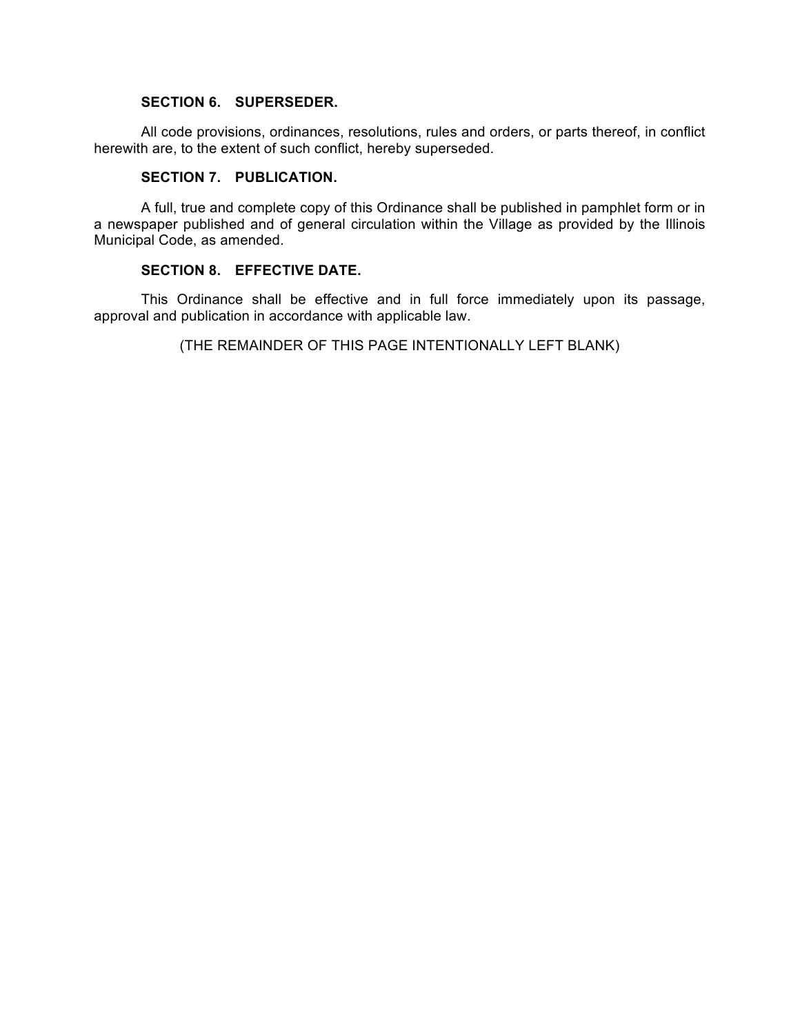## **SECTION 6. SUPERSEDER.**

All code provisions, ordinances, resolutions, rules and orders, or parts thereof, in conflict herewith are, to the extent of such conflict, hereby superseded.

### **SECTION 7. PUBLICATION.**

A full, true and complete copy of this Ordinance shall be published in pamphlet form or in a newspaper published and of general circulation within the Village as provided by the Illinois Municipal Code, as amended.

## **SECTION 8. EFFECTIVE DATE.**

This Ordinance shall be effective and in full force immediately upon its passage, approval and publication in accordance with applicable law.

(THE REMAINDER OF THIS PAGE INTENTIONALLY LEFT BLANK)